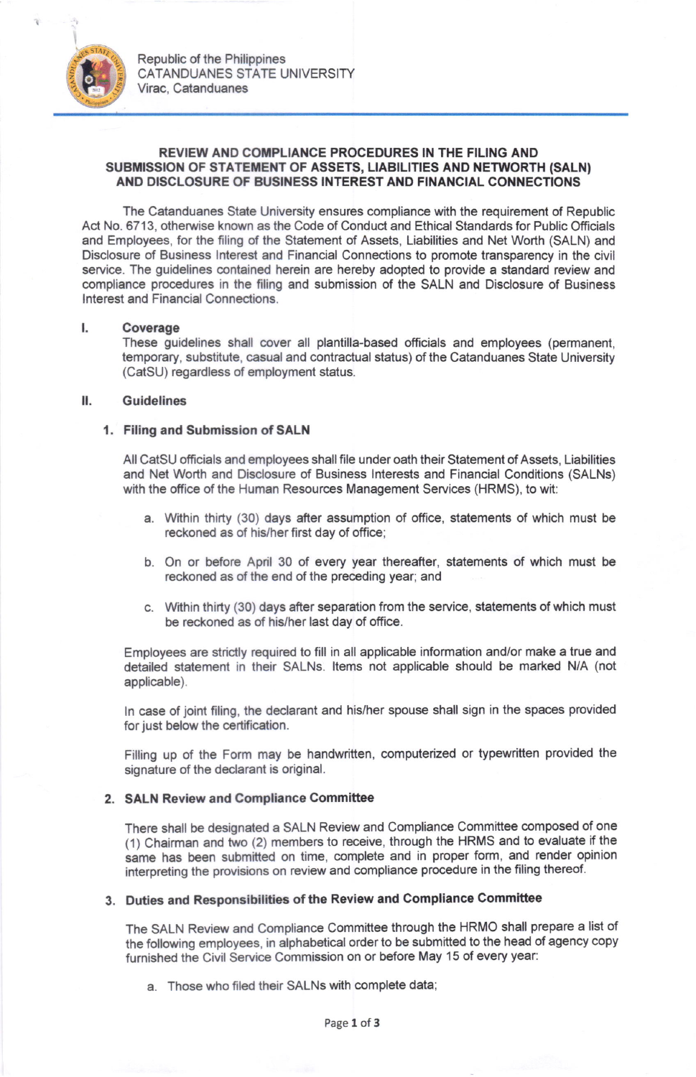

# REVIEW AND COMPLIANCE PROCEDURES IN THE FILING AND SUBMISSION OF STATEMENT OF ASSETS, LIABILITIES AND NETWORTH (SALN) AND DISCLOSURE OF BUSINESS INTEREST AND FINANCIAL CONNECTIONS

The Catanduanes State University ensures compliance wilh the requirement of Republic Act No. 6713, otherwise known as the Code of Conduct and Ethical Standards for Public Officials and Employees, for the filing of the Statement of Assets, Liabilities and Net Worth (SALN) and Disclosure of Business lnterest and Financial Connections to promote transparency in the civil service. The quidelines contained herein are hereby adopted to provide a standard review and compliance procedures in the filing and submission of the SALN and Disclosure of Business lnterest and Financial Connections.

#### Coverage L

These guidelines shall cover all plantilla-based officials and employees (permanent, temporary, substitute, casual and contrac{ual status) ofthe Catanduanes State University (CatSU) regardless of employment status.

## ll. Guidelines

# 1. Filing and Submission of SALN

AII CatSU officials and employees shall file under oath their Statement of Assets, Liabilities and Net Worth and Disclosure of Business lnterests and Financial Conditions (SALNs) with the office of the Human Resources Management Services (HRMS), to wit:

- a. Within thirty (30) days after assumption of office, statements of which must be reckoned as of his/her first day of office;
- b. On or before April 30 of every year thereafter, statements of which must be reckoned as of the end of the preceding year; and
- c. Within thirty (30) days after separation from the service, statements of which must be reckoned as of his/her last day of office.

Employees are strictly required to fill in all applicable information and/or make a true and detailed statement in their SALNs. ltems not applicable should be marked N/A (not applicable).

ln case of joint filing, the declarant and his/her spouse shall sign in the spaces provided for just below the certification.

Filling up of the Form may be handwritten, computerized or typewritten provided the signature of the declarant is original.

# 2. SALN Review and Compliance Committee

There shall be designated a SALN Review and Compliance Committee composed of one (1) Chairman and two (2) members to receive, through the HRMS and to evaluate if the same has been submitted on time, complete and in proper form, and render opinion interpreting the provisions on review and compliance procedure in the filing thereof.

# 3. Duties and Responsibilities of the Review and Compliance Commitee

The SALN Review and compliance committee through the HRMO shall prepare a list of the following employees, in alphabetical order to be submitted to the head of agency copy furnished the Civil Service Commission on or before May 15 of every year:

a. Those who filed their SALNs with complete data;